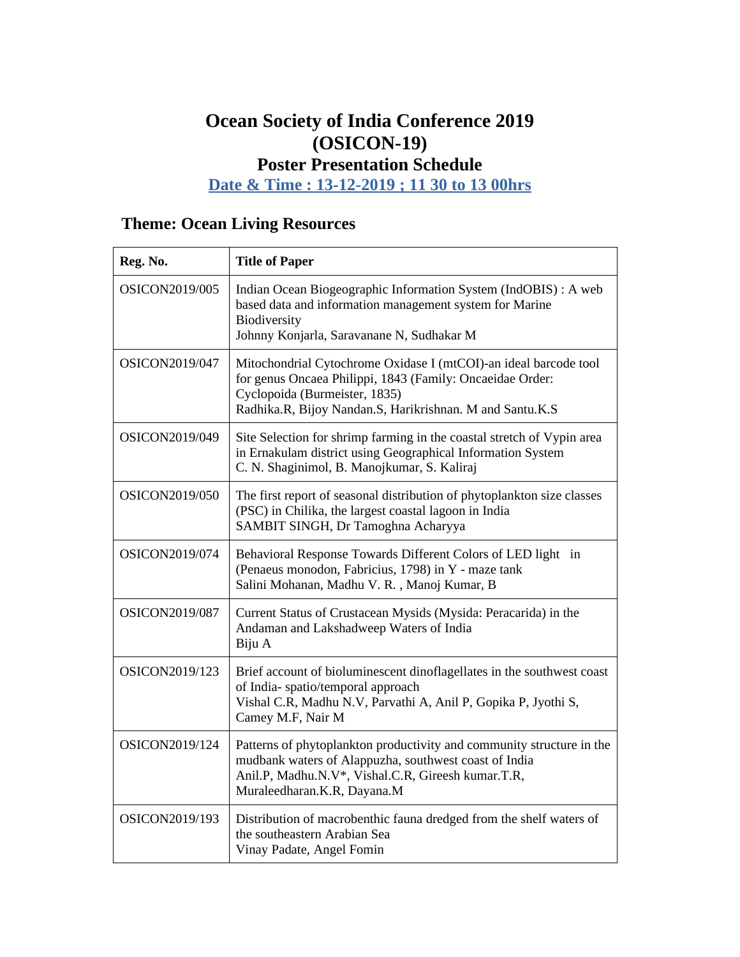### **Ocean Society of India Conference 2019 (OSICON-19) Poster Presentation Schedule**

**Date & Time : 13-12-2019 ; 11 30 to 13 00hrs**

# **Theme: Ocean Living Resources**

| Reg. No.       | <b>Title of Paper</b>                                                                                                                                                                                                      |
|----------------|----------------------------------------------------------------------------------------------------------------------------------------------------------------------------------------------------------------------------|
| OSICON2019/005 | Indian Ocean Biogeographic Information System (IndOBIS) : A web<br>based data and information management system for Marine<br>Biodiversity<br>Johnny Konjarla, Saravanane N, Sudhakar M                                    |
| OSICON2019/047 | Mitochondrial Cytochrome Oxidase I (mtCOI)-an ideal barcode tool<br>for genus Oncaea Philippi, 1843 (Family: Oncaeidae Order:<br>Cyclopoida (Burmeister, 1835)<br>Radhika.R, Bijoy Nandan.S, Harikrishnan. M and Santu.K.S |
| OSICON2019/049 | Site Selection for shrimp farming in the coastal stretch of Vypin area<br>in Ernakulam district using Geographical Information System<br>C. N. Shaginimol, B. Manojkumar, S. Kaliraj                                       |
| OSICON2019/050 | The first report of seasonal distribution of phytoplankton size classes<br>(PSC) in Chilika, the largest coastal lagoon in India<br>SAMBIT SINGH, Dr Tamoghna Acharyya                                                     |
| OSICON2019/074 | Behavioral Response Towards Different Colors of LED light in<br>(Penaeus monodon, Fabricius, 1798) in Y - maze tank<br>Salini Mohanan, Madhu V. R., Manoj Kumar, B                                                         |
| OSICON2019/087 | Current Status of Crustacean Mysids (Mysida: Peracarida) in the<br>Andaman and Lakshadweep Waters of India<br>Biju A                                                                                                       |
| OSICON2019/123 | Brief account of bioluminescent dinoflagellates in the southwest coast<br>of India-spatio/temporal approach<br>Vishal C.R, Madhu N.V, Parvathi A, Anil P, Gopika P, Jyothi S,<br>Camey M.F, Nair M                         |
| OSICON2019/124 | Patterns of phytoplankton productivity and community structure in the<br>mudbank waters of Alappuzha, southwest coast of India<br>Anil.P, Madhu.N.V*, Vishal.C.R, Gireesh kumar.T.R,<br>Muraleedharan.K.R, Dayana.M        |
| OSICON2019/193 | Distribution of macrobenthic fauna dredged from the shelf waters of<br>the southeastern Arabian Sea<br>Vinay Padate, Angel Fomin                                                                                           |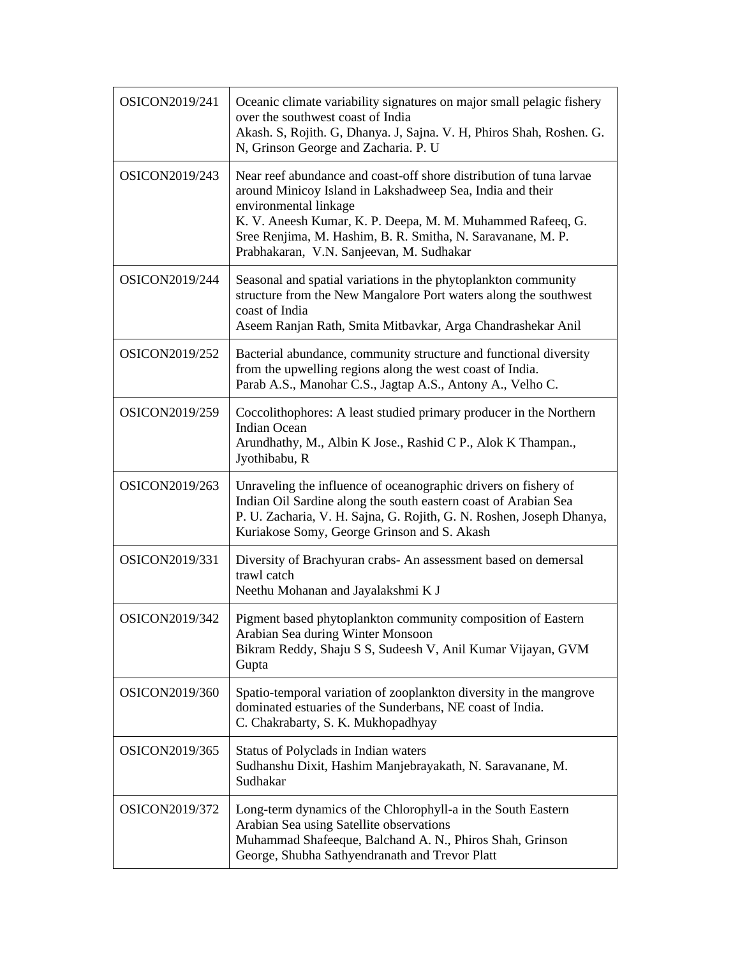| OSICON2019/241 | Oceanic climate variability signatures on major small pelagic fishery<br>over the southwest coast of India<br>Akash. S, Rojith. G, Dhanya. J, Sajna. V. H, Phiros Shah, Roshen. G.<br>N, Grinson George and Zacharia. P. U                                                                                                         |
|----------------|------------------------------------------------------------------------------------------------------------------------------------------------------------------------------------------------------------------------------------------------------------------------------------------------------------------------------------|
| OSICON2019/243 | Near reef abundance and coast-off shore distribution of tuna larvae<br>around Minicoy Island in Lakshadweep Sea, India and their<br>environmental linkage<br>K. V. Aneesh Kumar, K. P. Deepa, M. M. Muhammed Rafeeq, G.<br>Sree Renjima, M. Hashim, B. R. Smitha, N. Saravanane, M. P.<br>Prabhakaran, V.N. Sanjeevan, M. Sudhakar |
| OSICON2019/244 | Seasonal and spatial variations in the phytoplankton community<br>structure from the New Mangalore Port waters along the southwest<br>coast of India<br>Aseem Ranjan Rath, Smita Mitbavkar, Arga Chandrashekar Anil                                                                                                                |
| OSICON2019/252 | Bacterial abundance, community structure and functional diversity<br>from the upwelling regions along the west coast of India.<br>Parab A.S., Manohar C.S., Jagtap A.S., Antony A., Velho C.                                                                                                                                       |
| OSICON2019/259 | Coccolithophores: A least studied primary producer in the Northern<br><b>Indian Ocean</b><br>Arundhathy, M., Albin K Jose., Rashid C P., Alok K Thampan.,<br>Jyothibabu, R                                                                                                                                                         |
| OSICON2019/263 | Unraveling the influence of oceanographic drivers on fishery of<br>Indian Oil Sardine along the south eastern coast of Arabian Sea<br>P. U. Zacharia, V. H. Sajna, G. Rojith, G. N. Roshen, Joseph Dhanya,<br>Kuriakose Somy, George Grinson and S. Akash                                                                          |
| OSICON2019/331 | Diversity of Brachyuran crabs- An assessment based on demersal<br>trawl catch<br>Neethu Mohanan and Jayalakshmi K J                                                                                                                                                                                                                |
| OSICON2019/342 | Pigment based phytoplankton community composition of Eastern<br>Arabian Sea during Winter Monsoon<br>Bikram Reddy, Shaju S S, Sudeesh V, Anil Kumar Vijayan, GVM<br>Gupta                                                                                                                                                          |
| OSICON2019/360 | Spatio-temporal variation of zooplankton diversity in the mangrove<br>dominated estuaries of the Sunderbans, NE coast of India.<br>C. Chakrabarty, S. K. Mukhopadhyay                                                                                                                                                              |
| OSICON2019/365 | Status of Polyclads in Indian waters<br>Sudhanshu Dixit, Hashim Manjebrayakath, N. Saravanane, M.<br>Sudhakar                                                                                                                                                                                                                      |
| OSICON2019/372 | Long-term dynamics of the Chlorophyll-a in the South Eastern<br>Arabian Sea using Satellite observations<br>Muhammad Shafeeque, Balchand A. N., Phiros Shah, Grinson<br>George, Shubha Sathyendranath and Trevor Platt                                                                                                             |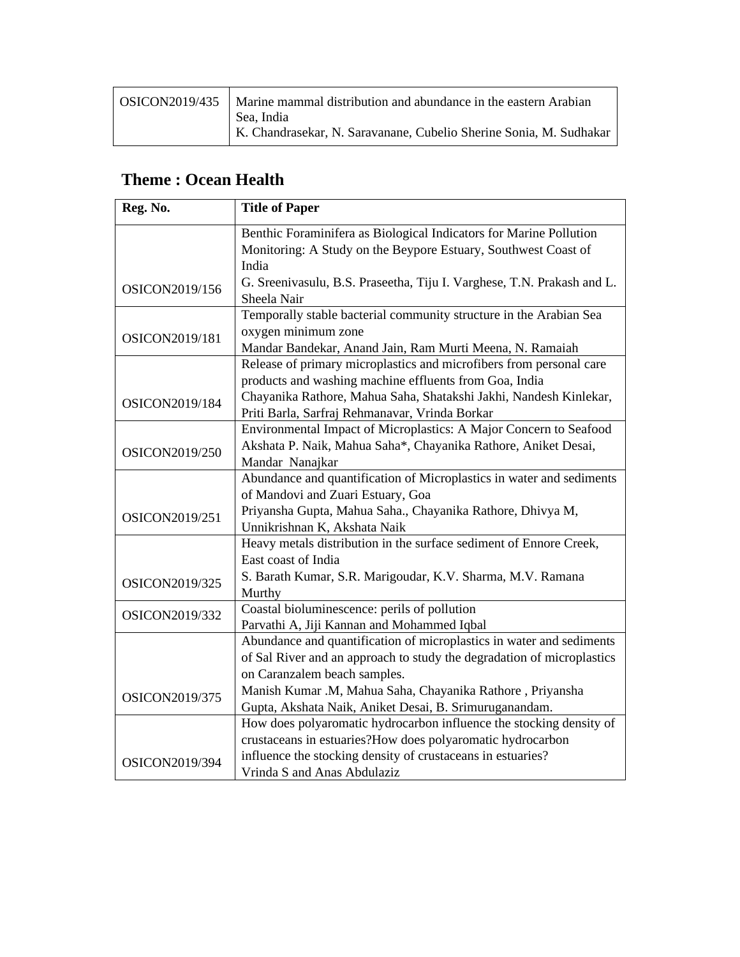| OSICON2019/435 | Marine mammal distribution and abundance in the eastern Arabian<br>Sea, India |
|----------------|-------------------------------------------------------------------------------|
|                | K. Chandrasekar, N. Saravanane, Cubelio Sherine Sonia, M. Sudhakar            |

#### **Theme : Ocean Health**

| Reg. No.       | <b>Title of Paper</b>                                                  |
|----------------|------------------------------------------------------------------------|
|                | Benthic Foraminifera as Biological Indicators for Marine Pollution     |
|                | Monitoring: A Study on the Beypore Estuary, Southwest Coast of         |
|                | India                                                                  |
| OSICON2019/156 | G. Sreenivasulu, B.S. Praseetha, Tiju I. Varghese, T.N. Prakash and L. |
|                | Sheela Nair                                                            |
|                | Temporally stable bacterial community structure in the Arabian Sea     |
| OSICON2019/181 | oxygen minimum zone                                                    |
|                | Mandar Bandekar, Anand Jain, Ram Murti Meena, N. Ramaiah               |
|                | Release of primary microplastics and microfibers from personal care    |
|                | products and washing machine effluents from Goa, India                 |
| OSICON2019/184 | Chayanika Rathore, Mahua Saha, Shatakshi Jakhi, Nandesh Kinlekar,      |
|                | Priti Barla, Sarfraj Rehmanavar, Vrinda Borkar                         |
|                | Environmental Impact of Microplastics: A Major Concern to Seafood      |
| OSICON2019/250 | Akshata P. Naik, Mahua Saha*, Chayanika Rathore, Aniket Desai,         |
|                | Mandar Nanajkar                                                        |
|                | Abundance and quantification of Microplastics in water and sediments   |
|                | of Mandovi and Zuari Estuary, Goa                                      |
| OSICON2019/251 | Priyansha Gupta, Mahua Saha., Chayanika Rathore, Dhivya M,             |
|                | Unnikrishnan K, Akshata Naik                                           |
|                | Heavy metals distribution in the surface sediment of Ennore Creek,     |
|                | East coast of India                                                    |
| OSICON2019/325 | S. Barath Kumar, S.R. Marigoudar, K.V. Sharma, M.V. Ramana             |
|                | Murthy                                                                 |
| OSICON2019/332 | Coastal bioluminescence: perils of pollution                           |
|                | Parvathi A, Jiji Kannan and Mohammed Iqbal                             |
|                | Abundance and quantification of microplastics in water and sediments   |
|                | of Sal River and an approach to study the degradation of microplastics |
|                | on Caranzalem beach samples.                                           |
| OSICON2019/375 | Manish Kumar .M, Mahua Saha, Chayanika Rathore, Priyansha              |
|                | Gupta, Akshata Naik, Aniket Desai, B. Srimuruganandam.                 |
|                | How does polyaromatic hydrocarbon influence the stocking density of    |
|                | crustaceans in estuaries?How does polyaromatic hydrocarbon             |
| OSICON2019/394 | influence the stocking density of crustaceans in estuaries?            |
|                | Vrinda S and Anas Abdulaziz                                            |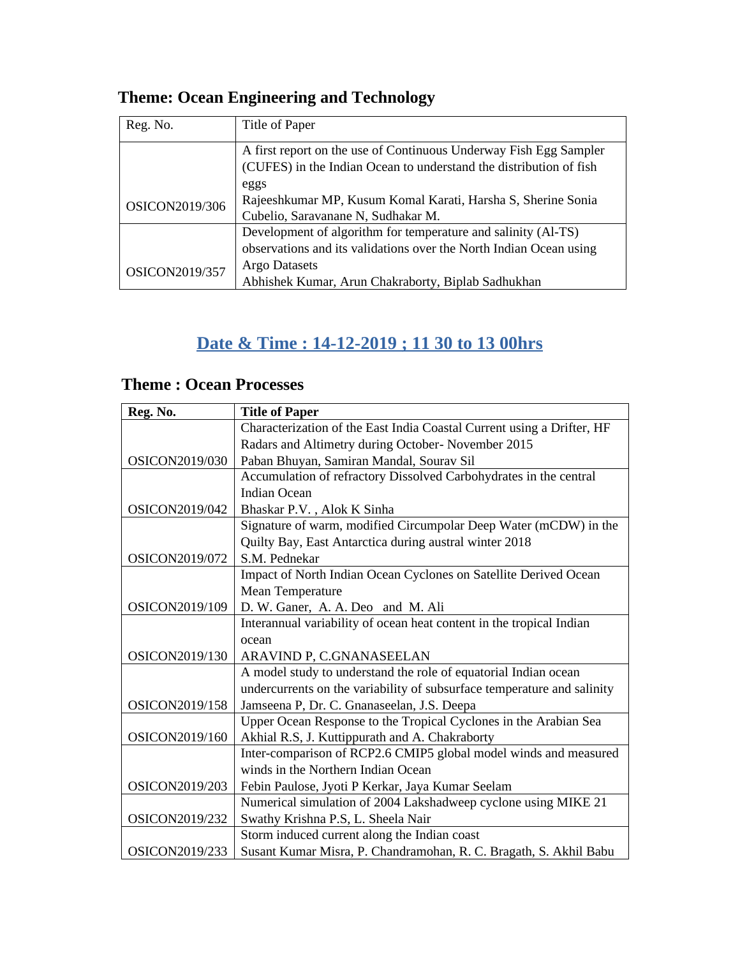## **Theme: Ocean Engineering and Technology**

| Reg. No.              | Title of Paper                                                     |
|-----------------------|--------------------------------------------------------------------|
|                       | A first report on the use of Continuous Underway Fish Egg Sampler  |
|                       | (CUFES) in the Indian Ocean to understand the distribution of fish |
|                       | eggs                                                               |
| OSICON2019/306        | Rajeeshkumar MP, Kusum Komal Karati, Harsha S, Sherine Sonia       |
|                       | Cubelio, Saravanane N, Sudhakar M.                                 |
|                       | Development of algorithm for temperature and salinity (Al-TS)      |
|                       | observations and its validations over the North Indian Ocean using |
| <b>OSICON2019/357</b> | Argo Datasets                                                      |
|                       | Abhishek Kumar, Arun Chakraborty, Biplab Sadhukhan                 |

### **Date & Time : 14-12-2019 ; 11 30 to 13 00hrs**

### **Theme : Ocean Processes**

| Reg. No.       | <b>Title of Paper</b>                                                   |
|----------------|-------------------------------------------------------------------------|
|                | Characterization of the East India Coastal Current using a Drifter, HF  |
|                | Radars and Altimetry during October- November 2015                      |
| OSICON2019/030 | Paban Bhuyan, Samiran Mandal, Sourav Sil                                |
|                | Accumulation of refractory Dissolved Carbohydrates in the central       |
|                | <b>Indian Ocean</b>                                                     |
| OSICON2019/042 | Bhaskar P.V., Alok K Sinha                                              |
|                | Signature of warm, modified Circumpolar Deep Water (mCDW) in the        |
|                | Quilty Bay, East Antarctica during austral winter 2018                  |
| OSICON2019/072 | S.M. Pednekar                                                           |
|                | Impact of North Indian Ocean Cyclones on Satellite Derived Ocean        |
|                | Mean Temperature                                                        |
| OSICON2019/109 | D. W. Ganer, A. A. Deo and M. Ali                                       |
|                | Interannual variability of ocean heat content in the tropical Indian    |
|                | ocean                                                                   |
| OSICON2019/130 | ARAVIND P, C.GNANASEELAN                                                |
|                | A model study to understand the role of equatorial Indian ocean         |
|                | undercurrents on the variability of subsurface temperature and salinity |
| OSICON2019/158 | Jamseena P, Dr. C. Gnanaseelan, J.S. Deepa                              |
|                | Upper Ocean Response to the Tropical Cyclones in the Arabian Sea        |
| OSICON2019/160 | Akhial R.S, J. Kuttippurath and A. Chakraborty                          |
|                | Inter-comparison of RCP2.6 CMIP5 global model winds and measured        |
|                | winds in the Northern Indian Ocean                                      |
| OSICON2019/203 | Febin Paulose, Jyoti P Kerkar, Jaya Kumar Seelam                        |
|                | Numerical simulation of 2004 Lakshadweep cyclone using MIKE 21          |
| OSICON2019/232 | Swathy Krishna P.S, L. Sheela Nair                                      |
|                | Storm induced current along the Indian coast                            |
| OSICON2019/233 | Susant Kumar Misra, P. Chandramohan, R. C. Bragath, S. Akhil Babu       |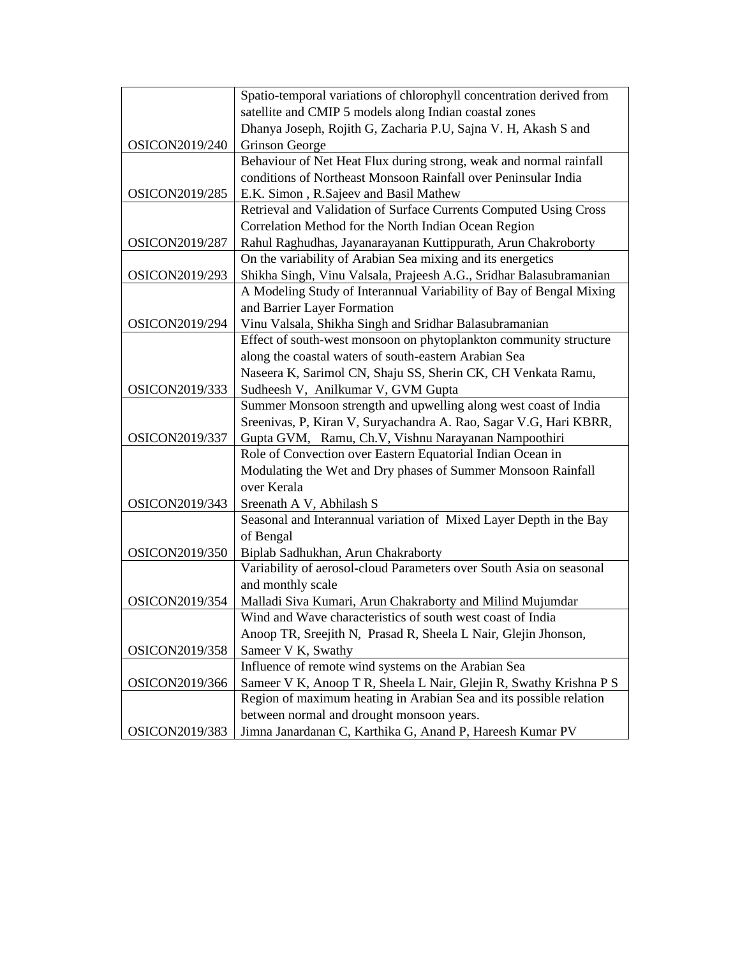|                | Spatio-temporal variations of chlorophyll concentration derived from |
|----------------|----------------------------------------------------------------------|
|                | satellite and CMIP 5 models along Indian coastal zones               |
|                | Dhanya Joseph, Rojith G, Zacharia P.U, Sajna V. H, Akash S and       |
| OSICON2019/240 | <b>Grinson George</b>                                                |
|                | Behaviour of Net Heat Flux during strong, weak and normal rainfall   |
|                | conditions of Northeast Monsoon Rainfall over Peninsular India       |
| OSICON2019/285 | E.K. Simon, R.Sajeev and Basil Mathew                                |
|                | Retrieval and Validation of Surface Currents Computed Using Cross    |
|                | Correlation Method for the North Indian Ocean Region                 |
| OSICON2019/287 | Rahul Raghudhas, Jayanarayanan Kuttippurath, Arun Chakroborty        |
|                | On the variability of Arabian Sea mixing and its energetics          |
| OSICON2019/293 | Shikha Singh, Vinu Valsala, Prajeesh A.G., Sridhar Balasubramanian   |
|                | A Modeling Study of Interannual Variability of Bay of Bengal Mixing  |
|                | and Barrier Layer Formation                                          |
| OSICON2019/294 | Vinu Valsala, Shikha Singh and Sridhar Balasubramanian               |
|                | Effect of south-west monsoon on phytoplankton community structure    |
|                | along the coastal waters of south-eastern Arabian Sea                |
|                | Naseera K, Sarimol CN, Shaju SS, Sherin CK, CH Venkata Ramu,         |
| OSICON2019/333 | Sudheesh V, Anilkumar V, GVM Gupta                                   |
|                | Summer Monsoon strength and upwelling along west coast of India      |
|                | Sreenivas, P, Kiran V, Suryachandra A. Rao, Sagar V.G, Hari KBRR,    |
| OSICON2019/337 | Gupta GVM, Ramu, Ch.V, Vishnu Narayanan Nampoothiri                  |
|                | Role of Convection over Eastern Equatorial Indian Ocean in           |
|                | Modulating the Wet and Dry phases of Summer Monsoon Rainfall         |
|                | over Kerala                                                          |
| OSICON2019/343 | Sreenath A V, Abhilash S                                             |
|                | Seasonal and Interannual variation of Mixed Layer Depth in the Bay   |
|                | of Bengal                                                            |
| OSICON2019/350 | Biplab Sadhukhan, Arun Chakraborty                                   |
|                | Variability of aerosol-cloud Parameters over South Asia on seasonal  |
|                | and monthly scale                                                    |
| OSICON2019/354 | Malladi Siva Kumari, Arun Chakraborty and Milind Mujumdar            |
|                | Wind and Wave characteristics of south west coast of India           |
|                | Anoop TR, Sreejith N, Prasad R, Sheela L Nair, Glejin Jhonson,       |
| OSICON2019/358 | Sameer V K, Swathy                                                   |
|                | Influence of remote wind systems on the Arabian Sea                  |
| OSICON2019/366 | Sameer V K, Anoop T R, Sheela L Nair, Glejin R, Swathy Krishna P S   |
|                | Region of maximum heating in Arabian Sea and its possible relation   |
|                | between normal and drought monsoon years.                            |
| OSICON2019/383 | Jimna Janardanan C, Karthika G, Anand P, Hareesh Kumar PV            |